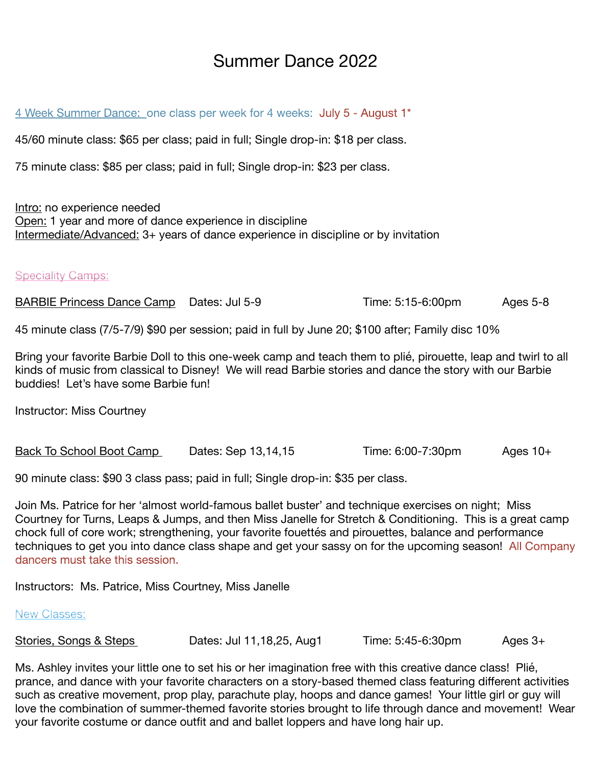## Summer Dance 2022

4 Week Summer Dance: one class per week for 4 weeks: July 5 - August 1\*

45/60 minute class: \$65 per class; paid in full; Single drop-in: \$18 per class.

75 minute class: \$85 per class; paid in full; Single drop-in: \$23 per class.

Intro: no experience needed Open: 1 year and more of dance experience in discipline Intermediate/Advanced: 3+ years of dance experience in discipline or by invitation

**Speciality Camps:** 

BARBIE Princess Dance Camp Dates: Jul 5-9 Time: 5:15-6:00pm Ages 5-8

45 minute class (7/5-7/9) \$90 per session; paid in full by June 20; \$100 after; Family disc 10%

Bring your favorite Barbie Doll to this one-week camp and teach them to plié, pirouette, leap and twirl to all kinds of music from classical to Disney! We will read Barbie stories and dance the story with our Barbie buddies! Let's have some Barbie fun!

Instructor: Miss Courtney

Back To School Boot Camp Dates: Sep 13,14,15 Time: 6:00-7:30pm Ages 10+

90 minute class: \$90 3 class pass; paid in full; Single drop-in: \$35 per class.

Join Ms. Patrice for her 'almost world-famous ballet buster' and technique exercises on night; Miss Courtney for Turns, Leaps & Jumps, and then Miss Janelle for Stretch & Conditioning. This is a great camp chock full of core work; strengthening, your favorite fouettés and pirouettes, balance and performance techniques to get you into dance class shape and get your sassy on for the upcoming season! All Company dancers must take this session.

Instructors: Ms. Patrice, Miss Courtney, Miss Janelle

## New Classes:

| Stories, Songs & Steps | Dates: Jul 11, 18, 25, Aug1 | Time: 5:45-6:30pm | Ages 3+ |
|------------------------|-----------------------------|-------------------|---------|
|------------------------|-----------------------------|-------------------|---------|

Ms. Ashley invites your little one to set his or her imagination free with this creative dance class! Plié, prance, and dance with your favorite characters on a story-based themed class featuring different activities such as creative movement, prop play, parachute play, hoops and dance games! Your little girl or guy will love the combination of summer-themed favorite stories brought to life through dance and movement! Wear your favorite costume or dance outfit and and ballet loppers and have long hair up.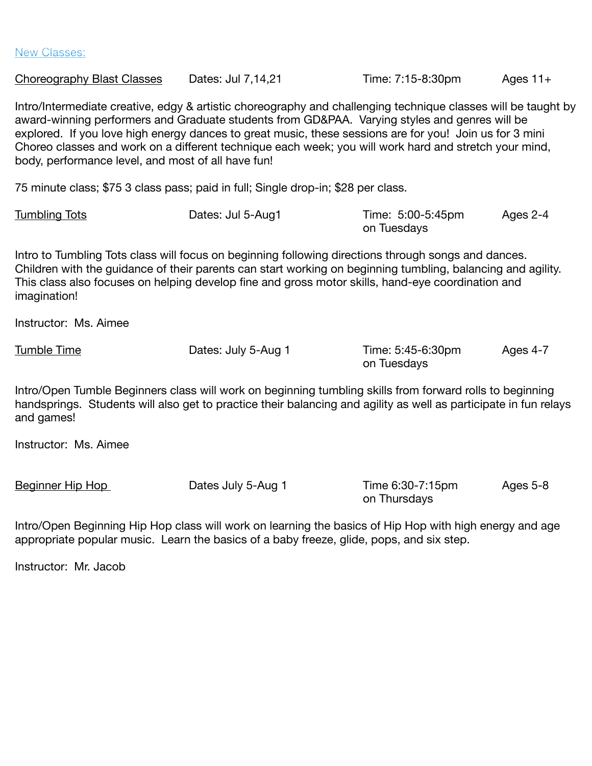New Classes:

Choreography Blast Classes Dates: Jul 7,14,21 Time: 7:15-8:30pm Ages 11+ Intro/Intermediate creative, edgy & artistic choreography and challenging technique classes will be taught by award-winning performers and Graduate students from GD&PAA. Varying styles and genres will be explored. If you love high energy dances to great music, these sessions are for you! Join us for 3 mini Choreo classes and work on a different technique each week; you will work hard and stretch your mind, body, performance level, and most of all have fun! 75 minute class; \$75 3 class pass; paid in full; Single drop-in; \$28 per class. Tumbling Tots Dates: Jul 5-Aug1 Time: 5:00-5:45pm Ages 2-4 on Tuesdays Intro to Tumbling Tots class will focus on beginning following directions through songs and dances. Children with the guidance of their parents can start working on beginning tumbling, balancing and agility. This class also focuses on helping develop fine and gross motor skills, hand-eye coordination and imagination! Instructor: Ms. Aimee Tumble Time **Tumble Time Contains the Cates:** July 5-Aug 1 Time: 5:45-6:30pm Ages 4-7 on Tuesdays Intro/Open Tumble Beginners class will work on beginning tumbling skills from forward rolls to beginning handsprings. Students will also get to practice their balancing and agility as well as participate in fun relays and games! Instructor: Ms. Aimee Beginner Hip Hop **Dates July 5-Aug 1** Time 6:30-7:15pm Ages 5-8 on Thursdays

Intro/Open Beginning Hip Hop class will work on learning the basics of Hip Hop with high energy and age appropriate popular music. Learn the basics of a baby freeze, glide, pops, and six step.

Instructor: Mr. Jacob